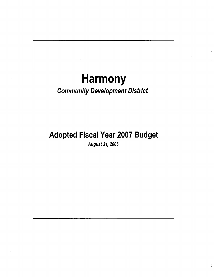# Harmony

# Community Development District

# Adopted Fiscal Year 2007 Budget

August 31, 2006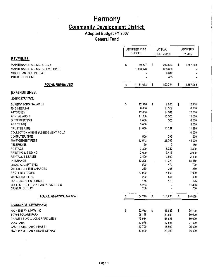## **Adopted Budget FY 2007**

 $\hat{\mathcal{A}}$ 

**General Fund** 

|                                                                                                                                                                                                                                                                                                                                                                                                                                                                                                                               | ADOPTED FY06<br><b>BUDGET</b> |                                                                                                                                                                             | <b>ACTUAL</b><br>THRU 6/30/06                                                                                                                              | <b>ADOPTED</b><br>FY 2007 |                                                                                                                                                                                       |  |
|-------------------------------------------------------------------------------------------------------------------------------------------------------------------------------------------------------------------------------------------------------------------------------------------------------------------------------------------------------------------------------------------------------------------------------------------------------------------------------------------------------------------------------|-------------------------------|-----------------------------------------------------------------------------------------------------------------------------------------------------------------------------|------------------------------------------------------------------------------------------------------------------------------------------------------------|---------------------------|---------------------------------------------------------------------------------------------------------------------------------------------------------------------------------------|--|
| <b>REVENUES:</b>                                                                                                                                                                                                                                                                                                                                                                                                                                                                                                              |                               |                                                                                                                                                                             |                                                                                                                                                            |                           |                                                                                                                                                                                       |  |
| MAINTENANCE ASSMNTS-LEVY<br>MAINTENANCE ASSMNTS-DEVELOPER<br>MISCELLANEOUS INCOME<br><b>INTEREST INCOME</b>                                                                                                                                                                                                                                                                                                                                                                                                                   | \$                            | 130,827<br>1,000,826                                                                                                                                                        | \$<br>213,666<br>633,030<br>6,642<br>455                                                                                                                   | \$                        | 1,357,268                                                                                                                                                                             |  |
| <b>TOTAL REVENUES</b>                                                                                                                                                                                                                                                                                                                                                                                                                                                                                                         | \$                            | 1,131,653                                                                                                                                                                   | \$<br>853,794                                                                                                                                              | \$                        | 1,357,268                                                                                                                                                                             |  |
| <b>EXPENDITURES:</b>                                                                                                                                                                                                                                                                                                                                                                                                                                                                                                          |                               |                                                                                                                                                                             |                                                                                                                                                            |                           |                                                                                                                                                                                       |  |
| <b>ADMINISTRATIVE:</b>                                                                                                                                                                                                                                                                                                                                                                                                                                                                                                        |                               |                                                                                                                                                                             |                                                                                                                                                            |                           |                                                                                                                                                                                       |  |
| SUPERVISORS' SALARIES<br><b>ENGINEERING</b><br><b>ATTORNEY</b><br><b>ANNUAL AUDIT</b><br><b>DISSEMINATION</b><br>ARBITRAGE<br><b>TRUSTEE FEES</b><br>COLLECTION AGENT (ASSESSMENT ROLL)<br><b>COMPUTER TIME</b><br><b>MANAGEMENT FEES</b><br><b>TELEPHONE</b><br><b>POSTAGE</b><br>PRINTING & BINDING<br><b>RENTALS &amp; LEASES</b><br><b>INSURANCE</b><br><b>LEGAL ADVERTISING</b><br>OTHER CURRENT CHARGES<br>PROPERTY TAXES<br>OFFICE SUPPLIES<br>DUES, LICENSES, SUBSCR.<br><b>COLLECTION FEES &amp; EARLY PYMT DISC</b> | \$                            | 12,918<br>6,000<br>12,000<br>11,300<br>6,000<br>3,000<br>11,880<br>500<br>42,543<br>150<br>3,300<br>2,500<br>2,400<br>13,200<br>500<br>250<br>20,000<br>200<br>175<br>5,233 | \$<br>7,966<br>14,357<br>14,598<br>10,500<br>500<br>10,237<br>292<br>28,362<br>2<br>3,029<br>5,416<br>1,600<br>11,720<br>479<br>298<br>5,561<br>844<br>175 | \$                        | 12,918<br>6,000<br>12,000<br>15,500<br>6,000<br>3,000<br>11,880<br>10,000<br>500<br>44,000<br>150<br>3,300<br>3,000<br>2,400<br>18,480<br>700<br>250<br>7,500<br>500<br>175<br>81,436 |  |
| CAPITAL OUTLAY                                                                                                                                                                                                                                                                                                                                                                                                                                                                                                                |                               | 750                                                                                                                                                                         |                                                                                                                                                            |                           | 750                                                                                                                                                                                   |  |
| TOTAL ADMINISTRATIVE                                                                                                                                                                                                                                                                                                                                                                                                                                                                                                          | \$                            | 154,799                                                                                                                                                                     | \$<br>115,933                                                                                                                                              | \$                        | 240,439                                                                                                                                                                               |  |
| <b>LANDSCAPE MAINTENANCE</b>                                                                                                                                                                                                                                                                                                                                                                                                                                                                                                  |                               |                                                                                                                                                                             |                                                                                                                                                            |                           |                                                                                                                                                                                       |  |
| MAIN ENTRY & HWY 192<br>TOWN SQUARE PARK<br>PHASE 1 BLVD & LONG PARK WEST<br><b>DOG PARK</b><br>LAKESHORE PARK - PHASE 1<br>HWY 192 MEDIAN & RIGHT OF WAY                                                                                                                                                                                                                                                                                                                                                                     | \$                            | 62,580<br>29,148<br>75,984<br>20,076<br>23,700<br>30,000                                                                                                                    | \$<br>46,935<br>21,861<br>56,825<br>17,557<br>15,800<br>20,000                                                                                             | \$                        | 65,700<br>30,600<br>80,000<br>21,000<br>25,000<br>36,000                                                                                                                              |  |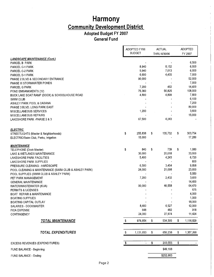**Adopted Budget FY 2007 General Fund** 

r

|                                                       | ADOPTED FY06                   | <b>ACTUAL</b> | <b>ADOPTED</b>  |
|-------------------------------------------------------|--------------------------------|---------------|-----------------|
|                                                       | <b>BUDGET</b>                  | THRU 6/30/06  | FY 2007         |
| <b>LANDSCAPE MAINTENANCE (Cont.)</b>                  |                                |               |                 |
| PARCEL B PARK                                         |                                |               | 6,500           |
| <b>PARCEL C-1 PARK</b>                                | 8,940                          | 8,152         | 6,000           |
| PARCEL C-2 PARK                                       | 5,940                          | 7,013         | 6,000           |
| PARCEL D-1 PARK                                       | 6,600                          | 4,455         | 7,000           |
| PHASE 2 BLVD & SECONDARY ENTRANCE                     | 90,000                         |               | 52,000          |
| PHASE III STORMWATER PONDS                            |                                |               | 7,000           |
| PARCEL G PARK                                         | 7,200                          | 462           | 14,400          |
| POND EMBANKMENTS (12)                                 | 75,360                         | 56,825        | 108,000         |
| BUCK LAKE BOAT RAMP (DOCK) & SCHOOLHOUSE ROAD         | 4,800                          | 4,899         | 7,800           |
| <b>SWIM CLUB</b>                                      |                                |               | 6,100           |
| ASHLEY PARK POOL & CABANA                             |                                |               | 7,200           |
| PHASE 3 BLVD. LONG PARK EAST                          |                                |               | 80,000          |
| <b>MISCELLANEOUS SERVICES</b>                         | 1,200                          |               | 3,600           |
| MISCELLANEOUS REPAIRS                                 |                                |               | 15,000          |
| LAKESHORE PARK - PHASE 2 & 3                          | 67,500                         | 4,243         |                 |
| <b>ELECTRIC</b>                                       |                                |               |                 |
| STREETLIGHTS (Master & Neighborhoods)                 | \$<br>255,838                  | \$<br>135,752 | \$<br>303,754   |
| ELECTRIC/Swim Club, Parks, Irrigation                 | 15,000                         |               | 17,280          |
| <b>MAINTENANCE</b>                                    |                                |               |                 |
| TELEPHONE (Dock Master)                               | \$<br>840                      | \$<br>739     | \$<br>1,080     |
| LAKE & WETLANDS MAINTENANCE                           | 30,000                         | 20,018        | 33,000          |
| LAKESHORE PARK FACILITIES                             | 5,400                          | 4,243         | 6,720           |
| LAKESHORE PARK SUPPLIES                               |                                |               | 600             |
| PRESSURE CLEANING - HARDSCAPE                         | 6,500                          | 3,454         | 9,858           |
| POOL CLEANING & MAINTENANCE (SWIM CLUB & ASHLEY PARK) | 24,000                         | 21,098        | 23,600          |
| POOL SUPPLIES (SWIM CLUB & ASHLEY PARK)               |                                |               | 5,550           |
| PET PARK MANAGEMENT                                   | 7,200                          | 2,432         | 3,600<br>14,400 |
| <b>GENERAL MAINTENANCE</b>                            | 90,000                         | 46,558        | 64,470          |
| WATER/WASTEWATER (KUA)                                |                                |               | 675             |
| PERMITS & LICENSES<br>BOAT REPAIR & MAINTENANCE       |                                |               | 4,000           |
| <b>BOATING SUPPLIES</b>                               |                                |               | 1,000           |
| BOATING CAPITAL OUTLAY                                |                                |               | 18,000          |
| SALARIES - DOCKMASTER                                 | 8,400                          | 6,527         | 12,000          |
| <b>FICA EXPENSE</b>                                   | 648                            | 482           | 918             |
| CONTINGENCY                                           | 24,000                         | 27,974        | 11,424          |
| <b>TOTAL MAINTENANCE</b>                              | \$<br>976,854                  | \$<br>534,305 | \$<br>1,116,829 |
| <b>TOTAL EXPENDITURES</b>                             | \$<br>1,131,653                | \$<br>650,238 | \$<br>1,357,268 |
|                                                       |                                |               |                 |
| <b>EXCESS REVENUES (EXPENDITURES)</b>                 | \$<br>$\overline{\phantom{a}}$ | \$<br>203,555 | \$              |
| FUND BALANCE - Beginning                              |                                | \$49,108      |                 |
| FUND BALANCE - Ending                                 |                                | \$252,663     |                 |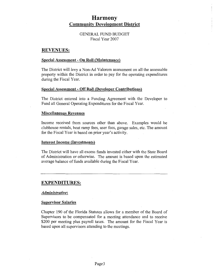GENERAL FUND BUDGET Fiscal Year 2007

#### **REVENUES:**

#### **Special Assessment - On Roll (Maintenance)**

The District will levy a Non-Ad Valorem assessment on all the assessable property within the District in order to pay for the operating expenditures during the Fiscal Year.

#### **Special Assessment - Off Roll (Developer Contributions)**

The District entered into a Funding Agreement with the Developer to Fund all General Operating Expenditures for the Fiscal Year.

#### **Miscellaneous Revenues**

Income received from sources other than above. Examples would be clubhouse rentals, boat ramp fees, user fees, garage sales, etc. The amount for the Fiscal Year is based on prior year's activity.

#### **Interest Income (Investments)**

The District will have all excess funds invested either with the State Board of Administration or otherwise. The amount is based upon the estimated average balance of funds available during the Fiscal Year.

#### **EXPENDITURES:**

#### *Administrative:*

#### **Supervisor Salaries**

Chapter 190 of the Florida Statutes allows for a member of the Board of Supervisors to be compensated for a meeting attendance and to receive \$200 per meeting plus payroll taxes. The amount for the Fiscal Year is based upon all supervisors attending to the meetings.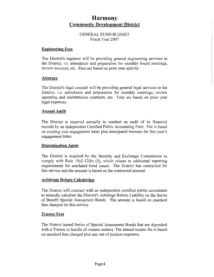#### GENERAL FUND BUDGET Fiscal Year 2007

#### **Engineering Fees**

The District's engineer will be providing general engineering services to the District, i.e. attendance and preparation for monthly board meetings, review invoices, etc. Fees are based on prior year activity.

#### **Attorney**

The District's legal counsel will be providing general legal services to the District, i.e. attendance and preparation for monthly meetings, review operating and maintenance contracts, etc. Fees are based on prior year legal expenses.

#### **Annual Audit**

The District is required annually to conduct an audit of its financial records by an Independent Certified Public Accounting Firm. Fee is based on existing year engagement letter plus anticipated increase for this year's engagement letter.

#### **Dissemination Agent**

The District is required by the Security and Exchange Commission to comply with Rule 15c2-12(b)  $(5)$ , which relates to additional reporting requirements for unrelated bond issues. The District has contracted for this service and the amount is based on the contracted amount.

#### **Arbitrage Rebate Calculation**

The District will contract with an independent certified public accountant to annually calculate the District's Arbitrage Rebate Liability on the Series of Benefit Special Assessment Bonds. The amount is based on standard fees charged for this service.

#### **Trustee Fees**

The District issued Series of Special Assessment Bonds that are deposited with a Trustee to handle all trustee matters. The annual trustee fee is based on standard fees charged plus any out of pockets expenses.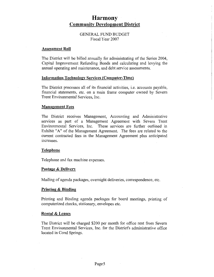#### GENERAL FUND BUDGET Fiscal Year 2007

#### **Assessment Roll**

The District will be billed annually for administrating of the Series 2004, Capital Improvement Refunding Bonds and calculating and levying the annual operating and maintenance, and debt service assessments.

#### **Information Technology Services (Computer-Time)**

The District processes all of its financial activities, i.e. accounts payable, financial statements, etc. on a main frame computer owned by Severn Trent Environmental Services, Inc.

#### **Management Fees**

The District receives Management, Accounting and Administrative services as part of a Management Agreement with Severn Trent Environmental Services, Inc. These services are further outlined in Exhibit "A" of the Management Agreement. The fees are related to the current contracted fees in the Management Agreement plus anticipated mcreases.

#### **Telephone**

Telephone and fax machine expenses.

#### **Postage & Delivery**

Mailing of agenda packages, overnight deliveries, correspondence, etc.

#### **Printing & Binding**

Printing and Binding agenda packages for board meetings, printing of computerized checks, stationary, envelopes etc.

#### **Rental & Leases**

The District will be charged \$200 per month for office rent from Severn Trent Environmental Services, Inc. for the District's administrative office located in Coral Springs.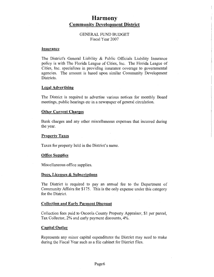#### GENERAL FUND BUDGET Fiscal Year 2007

#### **Insurance**

The District's General Liability & Public Officials Liability Insurance policy is with The Florida League of Cities, Inc. The Florida League of Cities, Inc. specializes in providing insurance coverage to governmental agencies. The amount is based upon similar Community Development Districts.

#### **Legal Advertising**

The District is required to advertise various notices for monthly Board meetings, public hearings etc in a newspaper of general circulation.

#### **Other Current Charges**

Bank charges and any other miscellaneous expenses that incurred during the year.

#### **Property Taxes**

Taxes for property held in the District's name.

#### **Office Supplies**

Miscellaneous office supplies.

#### **Dues, Licenses & Subscriptions**

The District is required to pay an annual fee to the Department of Community Affairs for \$175. This is the only expense under this category for the District.

#### **Collection and Early Payment Discount**

Collection fees paid to Osceola County Property Appraiser, \$1 per parcel, Tax Collector, 2% and early payment discounts, 4%.

#### **Capital Outlay**

Represents any minor capital expenditures the District may need to make during the Fiscal Year such as a file cabinet for District files.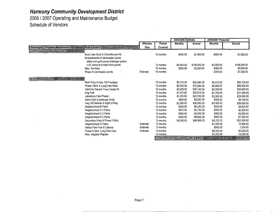**2006 I 2007 Operating and Maintenance Budget Schedule of Vendors** 

|                                       |                                        |                  |           | 2005/2006 Estimate |                                               | 2006/2007 Projected |               |
|---------------------------------------|----------------------------------------|------------------|-----------|--------------------|-----------------------------------------------|---------------------|---------------|
|                                       |                                        | <b>Effective</b> | Period    | Monthly            | Annual                                        | <b>Monthly</b>      | Annual        |
| Landscaping / Irrigation Maintenance  | <b>Work Location</b>                   | Date             | Covered   |                    |                                               |                     |               |
| Greer's Landscape and Lawn Maint      |                                        |                  |           |                    |                                               |                     |               |
|                                       | Buck Lake Dock & Schoolhouse Rd.       |                  | 12 months | \$650.00           | \$7,800.00                                    | \$650.00            | \$7,800.00    |
|                                       | Embankments of stormwater ponds        |                  |           |                    |                                               |                     |               |
|                                       | within non-golf course drainage system |                  |           |                    |                                               |                     |               |
|                                       | (12); removal of trash from ponds      |                  | 12 months | \$9,000.00         | \$108,000.00                                  | \$9,000.00          | \$108,000.00  |
|                                       | Misc. Services                         |                  | 12 months | \$300.00           | \$3,600.00                                    | \$300.00            | \$3,600.00    |
|                                       | Phase III stormwater ponds             | Estimate         | 10 months |                    |                                               | \$700.00            | \$7,000.00    |
| REW Landscape Corp. 2014. 2014. 2014. |                                        |                  |           |                    |                                               |                     |               |
|                                       | Main Entry & Hwy 192 Frontage          |                  | 12 months | \$5,215.00         | \$62,580.00                                   | \$5,475.00          | \$65,700.00   |
|                                       | Phase I Blvd. & Long Park West         |                  | 12 months | \$6,332.00         | \$75,984.00                                   | \$6,666.67          | \$80,000.00   |
|                                       | Harmony Square Town Center Pk          |                  | 12 months | \$2,429.00         | \$29,148.00                                   | \$2,550.00          | \$30,600.00   |
|                                       | Dog Park                               |                  | 12 months | \$1,673.00         | \$20,076.00                                   | \$1,750.00          | \$21,000.00   |
|                                       | Lakeshore Park Phase I                 |                  | 12 months | \$1,975.00         | \$23,700.00                                   | \$2,083.33          | \$25,000.00   |
|                                       | Swim Club (Landscape Only)             |                  | 12 months | \$485.00           | \$5,820.00                                    | \$508.33            | \$6,100.00    |
|                                       | Hwy 192 Median & Right of Way          |                  | 12 months | \$2,500.00         | \$30,000.00                                   | \$3,000.00          | \$36,000.00   |
|                                       | Neighborhood B Parks                   |                  | 12 months | \$520.00           | \$6,240.00                                    | \$520.00            | \$6,500.00    |
|                                       | Neighborhood C-1 Parks                 |                  | 12 months | \$475.00           | \$5,700.00                                    | \$500.00            | \$6,000.00    |
|                                       | Neighborhood C-2 Parks                 |                  | 12 months | \$495.00           | \$5,940.00                                    | \$500.00            | \$6,000.00    |
|                                       | Neighborhood D-1 Parks                 |                  | 12 months | \$550.00           | \$6,600.00                                    | \$583.33            | \$7,000.00    |
|                                       | Secondary Entry & Phase II Blvd.       |                  | 12 months | \$4,083.00         | \$48,996.00                                   | \$4,333.33          | \$52,000.00   |
|                                       | Neighborhood G Parks                   | Estimate         | 12 months |                    |                                               | \$1,200.00          | 14,400.00     |
|                                       | Ashley Park Pool & Cabana              | Estimate         | 12 months |                    |                                               | \$600.00            | 7,200.00      |
|                                       | Phase III Blvd. Long Park East         | Estimate         | 10 months |                    |                                               | \$8,000.00          | 80,000.00     |
|                                       | Misc. Irrigation Repairs               |                  | 12 months |                    |                                               | \$1,250.00          | 15,000.00     |
|                                       |                                        |                  |           |                    | <b>TOTAL PROJECTED LANDSCAPE &amp; IRRIG.</b> | 13734               | \$584,900.00. |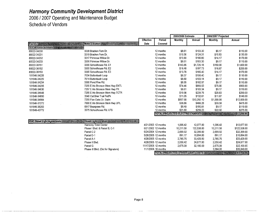**2006 I 2007 Operating and Maintenance Budget Schedule of Vendors** 

|                                      |                                      |                                 |                      | 2005/2006 Estimate                               |             | 2006/2007 Projected |              |
|--------------------------------------|--------------------------------------|---------------------------------|----------------------|--------------------------------------------------|-------------|---------------------|--------------|
|                                      |                                      | <b>Effective</b>                | Period               | Monthly                                          | Annual      | Monthly             | Annual       |
| Electric <b>Second</b>               | <b>Meter Location</b>                | <b>Date</b>                     | Covered              |                                                  |             |                     |              |
| OUC Account Numbers and Concerns and |                                      |                                 |                      |                                                  |             |                     |              |
| 85522-34230                          | 3338 Bracken Fern Dr.                |                                 | 12 months            | \$8.61                                           | \$103.30    | \$9.17              | \$110.00     |
| 85522-34231                          | 3319 Bracken Fern Dr.                |                                 | 12 months            | \$10.36                                          | \$124.31    | \$10.83             | \$130.00     |
| 85522-34232                          | 3317 Primrose Willow Dr.             |                                 | 12 months            | \$13.90                                          | \$166.80    | \$14.17             | \$170.00     |
| 85522-34233                          | 3306 Primrose Willow Dr.             |                                 | 12 months            | \$8.61                                           | \$103.30    | \$9.17              | \$110.00     |
| 85522-36151                          | 3300 Schoolhouse Rd. E1              |                                 | 12 months            | \$143.85                                         | \$1,726.18  | \$150.00            | \$1,800.00   |
| 85522-36152                          | 3300 Schoolhouse Rd. E2              |                                 | 12 months            | \$16.48                                          | \$197.73    | \$16.67             | \$200.00     |
| 85522-36153                          | 3300 Schoolhouse Rd. E3              |                                 | 12 months            | \$13.78                                          | \$165.40    | \$14.17             | \$170.00     |
| 101546-34228                         | 7034 Buttonbush Loop                 |                                 | 12 months            | \$8.37                                           | \$100.40    | \$9.17              | \$110.00     |
| 101546-34229                         | 7014 Buttonbush Loop                 |                                 | 12 months            | \$8.60                                           | \$103.14    | \$9.17              | \$110.00     |
| 101546-34234                         | 3300 Pond Pine Rd.                   |                                 | 12 months            | \$8.55                                           | \$102.57    | \$9.17              | \$110.00     |
| 101546-34235                         | 7255 E Irlo Bronson Mem Hwy ENTL     |                                 | 12 months            | \$74.46                                          | \$893.53    | \$75.00             | \$900.00     |
| 101546-34636                         | 7257 E Irlo Bronson Mem Hwy PK       |                                 | 12 months            | \$8.61                                           | \$103.34    | \$9.17              | \$110.00     |
| 101546-34548                         | 7255 E Irlo Bronson Mem Hwy TCTR     |                                 | 12 months            | \$19.98                                          | \$239.76    | \$20.83             | \$250.00     |
| 101546-34850                         | 3340 Cat Brier Trail PetPk           |                                 | 12 months            | \$11.05                                          | \$132.61    | \$11.67             | \$140.00     |
| 101546-34984                         | 7255 Five Oaks Dr. Swim              |                                 | 12 months            | \$857.68                                         | \$10,292.10 | \$1,000.00          | \$12,000.00  |
| 101546-37272                         | 7000 E Irlo Bronson Mem Hwy UPL      |                                 | 12 months            | \$38.86                                          | \$466.28    | \$39.58             | \$475.00     |
| 101546-38203                         | 6917 Beargrass Rd.                   |                                 | 12 months            | \$8.40                                           | \$100.81    | \$9.17              | \$110.00     |
| 101546-40772                         | 3375 Schoolhouse Rd. LFS             |                                 | 12 months            | \$21.60                                          | \$259.23    | \$22.92             | \$275.00     |
|                                      |                                      |                                 |                      | TOTAL PROJECTED ELECTRIC CHARGES AND TOTAL       |             |                     | 517,280.00   |
|                                      |                                      |                                 |                      |                                                  |             |                     |              |
| <b>OUC Street Light Agreements</b>   | Street Light Location 2008 2008 2009 |                                 |                      |                                                  |             |                     |              |
|                                      | Harmony Town Center                  |                                 | 4/21/2003 12 months  | 1,006.42                                         | 12,077.00   | 1,006.42            | \$12,077.00  |
|                                      | Phase I Blvd. & Parcel B, C-1        |                                 | 6/21/2002 12 months  | 10,211.50                                        | 122,538.00  | 10,211.50           | \$122,538.00 |
|                                      | Parcel C-2                           |                                 | 6/24/2004 12 months  | 2,699.92                                         | 32,399.00   | 2,699.92            | \$32,399.00  |
|                                      | Parcel D-1                           |                                 | 5/26/2005 12 months  | 891.17                                           | 10,694.00   | 891.17              | \$10,694.00  |
|                                      | Parcel A-1                           |                                 | 4/28/2005 12 months  | 2,785.75                                         | 33,429.00   | 2,785.75            | \$33 429 00  |
|                                      | Phase II Blvd.                       |                                 | 4/28/2005 12 months  | 2.056.42                                         | 24,677.00   | 2,056.42            | \$24,677.00  |
|                                      | Parcel G                             |                                 | 11/17/2005 12 months | 2,675.00                                         | 32,100.00   | 2,675.00            | \$32,100.00  |
|                                      | Phase III Blvd. (Out for Signature)  | 11/1/2006 10 months<br>3,584.00 |                      |                                                  |             |                     | \$35,840.00  |
|                                      |                                      |                                 |                      | TOTAL PROJECTED STREET LIGHT COSTS AND ASSESSED. |             |                     | \$303,754.00 |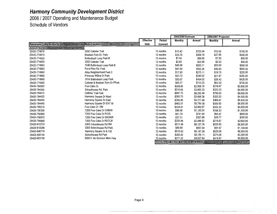**2006 I 2007 Operating and Maintenance Budget Schedule of Vendors** 

|                                    |                                         |                  |           | 2005/2006 Estimate |                                    | 2006/2007 Projected |             |
|------------------------------------|-----------------------------------------|------------------|-----------|--------------------|------------------------------------|---------------------|-------------|
|                                    |                                         | <b>Effective</b> | Period    | <b>Monthly</b>     | Annual                             | Monthly             | Annual      |
| <b>Kissimmee Utility Authority</b> | Meter Location and Washington and State | Date             | Covered   |                    |                                    |                     |             |
| Account Number 2008 2009 2009      |                                         |                  |           |                    |                                    |                     |             |
| 25420-774870                       | 3350 Catbrier Trail                     |                  | 12 months | \$10.42            | \$125.04                           | \$12.50             | \$150.00    |
| 25420-774910                       | Bracken Fern Dr. Park                   |                  | 12 months | \$25.76            | \$309.15                           | \$27.50             | \$330.00    |
| 25420-774920                       | Buttonbush Loop Park B                  |                  | 12 months | \$7.08             | \$84.95                            | \$7.50              | \$90.00     |
| 25420-774930                       | 3362 Catbrier Trail                     |                  | 12 months | \$2.83             | \$33.90                            | \$3.33              | \$40.00     |
| 25420-774940                       | 7036 Buttonbush Loop Park B             |                  | 12 months | \$46.09            | \$553.11                           | \$50.00             | \$600.00    |
| 25420-774950                       | Pond Pine Rd. Park                      |                  | 12 months | \$41.94            | \$503.25                           | \$45.83             | \$550.00    |
| 25420-774960                       | Alley Neighborhood Park C               |                  | 12 months | \$17.93            | \$215.11                           | \$18.75             | \$225.00    |
| 25420-774980                       | Primrose Willow Dr Park                 |                  | 12 months | \$20.72            | \$248.62                           | \$21.67             | \$260.00    |
| 25420-774990                       | 7014 Buttonbush Loop Park               |                  | 12 months | \$33.67            | \$404.02                           | \$35.42             | \$425.00    |
| 25420-775000                       | Catbrier & Bracken Fern Dr PPark        |                  | 12 months | \$59.17            | \$710.03                           | \$62.50             | \$750.00    |
| 25420-784380                       | Five Oaks Dr.                           |                  | 12 months | \$209.06           | \$2,508.75                         | \$216.67            | \$2,600.00  |
| 25420-784390                       | Schoolhouse Rd. Park                    |                  | 12 months | \$316.69           | \$3,800.23                         | \$333.33            | \$4,000.00  |
| 25420-784410                       | Catbrier Trail Park                     |                  | 12 months | \$687.79           | \$8,253.49                         | \$750.00            | \$9,000.00  |
| 25420-784420                       | Harmony Square Dr West                  |                  | 12 months | \$305.70           | \$3,668.38                         | \$333.33            | \$4,000.00  |
| 25420-784430                       | Harmony Square Dr East                  |                  | 12 months | \$356.46           | \$4,277.46                         | \$366.67            | \$4,400.00  |
| 25420-784440                       | Harmony Square Dr ENT W                 |                  | 12 months | \$482.51           | \$5,790.08                         | \$500.00            | \$6,000.00  |
| 25420-785210                       | Five Oaks Dr. RM                        |                  | 12 months | \$324.41           | \$3,892.87                         | \$333.33            | \$4,000.00  |
| 25420-790300                       | 7255 Five Oaks Dr CABAN                 |                  | 12 months | \$96.96            | \$1,163.55                         | \$108.33            | \$1,300.00  |
| 25420-790660                       | 7255 Five Oaks Dr POOL                  |                  | 12 months | \$61.79            | \$741.49                           | \$66.67             | \$800.00    |
| 25420-790670                       | 7255 Five Oaks Dr SHOWR                 |                  | 12 months | \$27.31            | \$327.66                           | \$29.17             | \$350.00    |
| 25420-790680                       | 7255 Five Oaks Dr RECLM                 |                  | 12 months | \$203.89           | \$2,446.62                         | \$216.67            | \$2,600.00  |
| 25420-812210                       | 3300 Schoolhouse Rd RM                  |                  | 12 months | \$511.48           | \$6,137.76                         | \$525.00            | \$6,300.00  |
| 25420-819280                       | 3300 Schoolhouse Rd Park                |                  | 12 months | \$80.64            | \$967.64                           | \$91.67             | \$1,100.00  |
| 25420-846710                       | Harmony Square Dr & 192                 |                  | 12 months | \$515.62           | \$6,187.38                         | \$525.00            | \$6,300.00  |
| 25420-855740                       | Schoolhouse Rd Park                     |                  | 12 months | \$265.43           | \$3,185.11                         | \$275.00            | \$3,300.00  |
| 25420-903760                       | 6900 E irlo Bronson Mem Hwy             |                  | 12 months | \$377.32           | \$4,527.84                         | \$416.67            | \$5,000.00  |
|                                    |                                         |                  |           |                    | TOTAL PROJECTED WATER/SEWER/IRRIG. |                     | \$64,470.00 |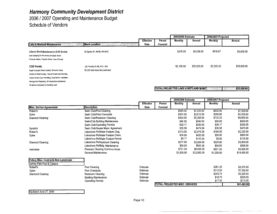2006 I 2007 Operating and Maintenance Budget Schedule of Vendors

|                                                           |                                    |                  |         | 2005/2006 Estimate |                                                   | 2006/2007 Projected |             |
|-----------------------------------------------------------|------------------------------------|------------------|---------|--------------------|---------------------------------------------------|---------------------|-------------|
|                                                           |                                    | <b>Effective</b> | Period  | Monthly            | Annual                                            | Monthly             | Annual      |
| <b>Lake &amp; Wetland Maintenance</b>                     | <b>Work Location</b>               | Date             | Covered |                    |                                                   |                     |             |
| Littoral Shelf Maintenance (5.05 Acres)                   | (8 Sights) #1, #4-#6, #10-#13      |                  |         | \$378.00           | \$4,536.00                                        | \$416.67            | \$5,000.00  |
| Spot Spraying for the control of Cattail, Brush,          |                                    |                  |         |                    |                                                   |                     |             |
| Primrose Willow, Torpedo Grass, Vine & Fennel             |                                    |                  |         |                    |                                                   |                     |             |
| <b>CDD Ponds</b>                                          | (30 Ponds) #1-#8, #10 - #31        |                  |         | \$2,160.00         | \$25,920.00                                       | \$2,333.33          | \$28,000.00 |
| Algae & Aquatic Weed Control, Shoreline Grass             | 50,235 total linear foot perimeter |                  |         |                    |                                                   |                     |             |
| Control to Water's Edge, Trip;oid Grass Carp Stocking,    |                                    |                  |         |                    |                                                   |                     |             |
| Triploid Grass Carp Permitting, Carp Barrier Installation |                                    |                  |         |                    |                                                   |                     |             |
| Management Reporting, 36 Inspections w/treatment          |                                    |                  |         |                    |                                                   |                     |             |
| All above included in monthly cost                        |                                    |                  |         |                    |                                                   |                     |             |
|                                                           |                                    |                  |         |                    | <b>ITOTAL PROJECTED LAKE &amp; WETLAND MAINT.</b> |                     | \$33,000.00 |

|                                             |                                   |                  |         | 2005/2006 Estimate                    |             | 2006/2007 Projected |             |
|---------------------------------------------|-----------------------------------|------------------|---------|---------------------------------------|-------------|---------------------|-------------|
|                                             |                                   | <b>Effective</b> | Period  | Monthly                               | Annual      | Monthly             | Annual      |
| <b>Misc. Service Agreements</b>             | <b>Description</b>                | Date             | Covered |                                       |             |                     |             |
| Robert's                                    | Swim Club/Pool Cleaning           |                  |         | \$585.00                              | \$7,020.00  | \$600.00            | \$7,200.00  |
| Spies                                       | Swim Club/Pool Chemicals          |                  |         | \$301.00                              | \$3,612.00  | \$350.00            | \$4,200.00  |
| Diamond Cleaning                            | Swim Club/Restroom Cleaning       |                  |         | \$434.00                              | \$5,208.00  | \$733.33            | \$8,800.00  |
|                                             | Swim/Club Building Maintenance    |                  |         | \$45.00                               | \$540.00    | \$50.00             | \$600.00    |
|                                             | Swim Club/Operating Permits       |                  |         | \$29.17                               | \$350.04    | \$29.17             | \$350.00    |
| Symbiot                                     | Swim Club/Heater Maint. Agreement |                  |         | \$39.58                               | \$474.96    | \$39.58             | \$475.00    |
| Robert's                                    | Lakeshore Pk/Water Feature Cing.  |                  |         | \$173.00                              | \$2,076.00  | \$185.00            | \$2,220.00  |
| Spies                                       | Lakeshore Pk/Water Feature Chem.  |                  |         | \$35.00                               | \$420.00    | \$50.00             | \$600.00    |
|                                             | Lakeshore Pk/Water Feature Permit |                  |         | \$9.17                                | \$110.04    | \$9.58              | \$115.00    |
| Diamond Cleaning                            | Lakeshore Pk/Restroom Cleaning    |                  |         | \$217,00                              | \$2,604.00  | \$325.00            | \$3,900.00  |
|                                             | Lakeshore Pk/Bldg. Maintenance    |                  |         | \$50.00                               | \$600.00    | \$50.00             | \$600.00    |
| Awnclean                                    | Pressure Cleaning Common Areas    |                  |         | \$721.50                              | \$8,658.00  | \$821.50            | \$9,858.00  |
|                                             | General Maintenance               |                  |         | \$1,000.00                            | \$12,000.00 | \$1,200.00          | \$14,400.00 |
| <b>Future Misc. Contracts Non-Landscape</b> |                                   |                  |         |                                       |             |                     |             |
| Ashley Park Pool & Cabana                   |                                   |                  |         |                                       |             |                     |             |
| Robert's                                    | Pool Cleaning                     | Estimate         |         |                                       |             | \$281.25            | \$3,375.00  |
| Spies                                       | Pool Chemicals                    | Estimate         |         |                                       |             | \$112.50            | \$1,350.00  |
| Diamond Cleaning                            | Restroom Cleaning                 | Estimate         |         |                                       |             | \$243.75            | \$2,925.00  |
|                                             | <b>Building Maintenance</b>       | Estimate         |         |                                       |             | \$18.75             | \$225.00    |
|                                             | <b>Operating Permits</b>          | Estimate         |         |                                       |             | \$17.50             | \$210.00    |
|                                             |                                   |                  |         | <b>TOTAL PROJECTED MISC. SERVICES</b> |             |                     | \$61,403.00 |
|                                             |                                   |                  |         |                                       |             |                     |             |

Updated June 27, 2005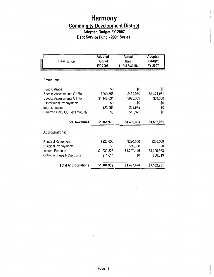### **Adopted Budget FY 2007 Debt Service Fund - 2001 Series**

| <b>Description</b>                     | Adopted<br><b>Budget</b><br>FY 2006 | Actual<br>thru<br>THRU 6/30/06 | Adopted<br><b>Budget</b><br>FY 2007 |
|----------------------------------------|-------------------------------------|--------------------------------|-------------------------------------|
| Revenues:                              |                                     |                                |                                     |
| <b>Fund Balance</b>                    | \$0                                 | \$0                            | \$0                                 |
| Special Assessments On Roll            | \$290,356                           | \$459,960                      | \$1,471,981                         |
| Special Assessments Off Roll           | \$1,147,631                         | \$928,639                      | \$61,000                            |
| Assessment Prepayments                 | \$0                                 | \$0                            | \$0                                 |
| Interest Income                        | \$23,953                            | \$39,972                       | \$0                                 |
| Realized Gain/ US T-Bill Maturity      | \$0                                 | \$10,825                       | \$0                                 |
| <b>Total Revenues</b>                  | \$1,461,939                         | \$1,439,396                    | \$1,532,981                         |
| Appropriations:                        |                                     |                                |                                     |
| <b>Principal Retirement</b>            | \$220,000                           | \$220,000                      | \$235,000                           |
| <b>Principal Prepayments</b>           | \$0                                 | \$50,000                       | \$0                                 |
| Interest Expense                       | \$1,230,325                         | \$1,227,426                    | \$1,209,663                         |
| <b>Collection Fees &amp; Discounts</b> | \$11,614                            | \$0                            | \$88,319                            |
| <b>Total Appropriations</b>            | \$1,461,939                         | \$1,497,426                    | \$1,532,981                         |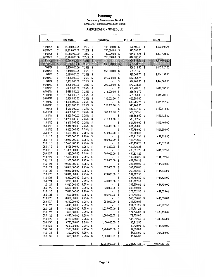#### **Harmony**

 $\bar{1}$ l,

#### **Community Development District**  Series 2001 Special Assessment Bonds

#### **AMORTIZATION SCHEDULE**

| DATE                 |          | <b>BALANCE</b>                 | RATE           |          | <b>PRINCIPAL</b> |          | <b>INTEREST</b>          | <b>TOTAL</b>        |
|----------------------|----------|--------------------------------|----------------|----------|------------------|----------|--------------------------|---------------------|
| 11/01/04             | \$       | 17,280,000.00                  | 7.25%          | \$       | 105,000.00       | \$       | 626,400.00               | \$<br>1,573,993.75  |
| 05/01/05             | \$       | 17,175,000.00                  | 7.25%          | \$       | 220,000.00       | \$       | 622,593.75               |                     |
| 11/01/05             | \$       | 16,955,000.00                  | 7.25%          | \$       | 50,000.00        | \$       | 614,618.75               | \$<br>1,497,425.00  |
| 05/01/06             | \$       | 16,905,000.00                  | 7.25%          | \$       | 220,000.00       | \$       | 612,806.25               |                     |
| 11/01/06             | \$       | 16,685,000.00                  | 7.25%          | \$       |                  | \$       | 604,831.25               | \$<br>1,444,662.50  |
| 05/01/07             | \$       | 16,685,000.00                  | 7.25%          | \$       | 235,000.00       | \$       | 604,831.25               |                     |
| 11/01/07             | \$       | 16,450,000.00                  | 7.25%          | \$       |                  | \$       | 596,312.50               | \$<br>1,447,625.00  |
| 05/01/08             | \$       | 16,450,000.00                  | 7.25%          | \$       | 255,000.00       | \$       | 596,312.50               |                     |
| 11/01/08<br>05/01/09 | \$<br>\$ | 16,195,000.00<br>16,195,000.00 | 7.25%<br>7.25% | \$<br>\$ | 270,000.00       | \$<br>\$ | 587,068.75<br>587,068.75 | \$<br>1,444,137.50  |
| 11/01/09             | \$       | 15,925,000.00                  | 7.25%          | \$       |                  | \$       | 577,281.25               | \$<br>1,444,562.50  |
| 05/01/10             | \$       | 15,925,000.00                  | 7.25%          | \$       | 290,000.00       | \$       | 577,281.25               |                     |
| 11/01/10             | \$       | 15,635,000.00                  | 7.25%          | \$       |                  | \$       | 566,768.75               | \$<br>1,448,537.50  |
| 05/01/11             | \$       | 15,635,000.00                  | 7.25%          | \$       | 315,000.00       | \$       | 566,768.75               |                     |
| 11/01/11             | \$       | 15,320,000.00                  | 7.25%          | \$       |                  | \$       | 555,350.00               | \$<br>1,445,700.00  |
| 05/01/12             | \$       | 15,320,000.00                  | 7.25%          | \$       | 335,000.00       | \$       | 555,350.00               |                     |
| 11/01/12             | \$       | 14,985,000.00                  | 7.25%          | \$       |                  | \$       | 543,206.25               | \$<br>1,441,412.50  |
| 05/01/13             | \$       | 14,985,000.00                  | 7.25%          | \$       | 355,000.00       | \$       | 543,206.25               |                     |
| 11/01/13             | \$       | 14,630,000.00                  | 7.25%          | \$       |                  | \$       | 530,337.50               | \$<br>1,440,675.00  |
| 05/01/14             | \$       | 14,630,000.00                  | 7.25%          | \$       | 380,000.00       | \$       | 530,337.50               |                     |
| 11/01/14             | \$       | 14,250,000.00                  | 7.25%          | \$       |                  | \$       | 516,562.50               | \$<br>1,443,125.00  |
| 05/01/15             | \$       | 14,250,000.00                  | 7.25%          | \$       | 410,000.00       | \$       | 516,562.50               |                     |
| 11/01/15             | \$       | 13,840,000.00                  | 7.25%          | \$       |                  | \$       | 501,700.00               | \$<br>1,443,400.00  |
| 05/01/16             | \$       | 13,840,000.00                  | 7.25%          | \$       | 440,000.00       | \$       | 501,700.00               |                     |
| 11/01/16             | \$       | 13,400,000.00                  | 7.25%          | \$       |                  | \$       | 485,750.00               | \$<br>1,441,500.00  |
| 05/01/17             | \$       | 13,400,000.00                  | 7.25%          | \$       | 470,000.00       | \$       | 485,750.00               |                     |
| 11/01/17             | \$       | 12,930,000.00                  | 7.25%<br>7.25% | \$<br>\$ |                  | \$       | 468,712.50               | \$<br>1,442,425.00  |
| 05/01/18<br>11/01/18 | \$<br>\$ | 12,930,000.00<br>12,425,000.00 | 7.25%          | \$       | 505,000.00       | \$<br>\$ | 468,712.50<br>450,406.25 | \$<br>1,440,812.50  |
| 05/01/19             | \$       | 12,425,000.00                  | 7.25%          | \$       | 540,000.00       | \$       | 450,406.25               |                     |
| 11/01/19             | \$       | 11,885,000.00                  | 7.25%          | \$       |                  | \$       | 430,831.25               | \$<br>1,441,662.50  |
| 05/01/20             | \$       | 11,885,000.00                  | 7.25%          | \$       | 580,000.00       | \$       | 430,831.25               |                     |
| 11/01/20             | \$       | 11,305,000.00                  | 7.25%          | \$       |                  | \$       | 409,806.25               | \$<br>1,444,612.50  |
| 05/01/21             | \$       | 11,305,000.00                  | 7.25%          | \$       | 625,000.00       | \$       | 409,806.25               |                     |
| 11/01/21             | \$       | 10,680,000.00                  | 7.25%          | \$       |                  | \$       | 387,150.00               | \$<br>1,444,300.00  |
| 05/01/22             | \$       | 10,680,000.00                  | 7.25%          | \$       | 670,000.00       | \$       | 387,150.00               |                     |
| 11/01/22             | \$       | 10,010,000.00                  | 7.25%          | \$       |                  | \$       | 362,862.50               | \$<br>1,445,725.00  |
| 05/01/23             | \$       | 10,010,000.00                  | 7.25%          | \$       | 720,000.00       | \$       | 362,862.50               |                     |
| 11/01/23             | \$       | 9,290,000.00                   | 7.25%          | \$       |                  | \$       | 336,762.50               | \$<br>1,443,525.00  |
| 05/01/24             | \$       | 9,290,000.00                   | 7.25%          | \$       | 770,000.00       | \$       | 336,762.50               |                     |
| 11/01/24             | \$       | 8,520,000.00                   | 7.25%          | \$       |                  | \$       | 308,850.00               | \$<br>1,447,700.00  |
| 05/01/25             | \$       | 8,520,000.00                   | 7.25%          | \$       | 830,000.00       | \$       | 308,850.00               |                     |
| 11/01/25<br>05/01/26 | \$       | 7,690,000.00<br>7,690,000.00   | 7.25%          | \$       |                  | \$       | 278.762.50<br>278,762.50 | \$<br>1,447,525.00  |
| 11/01/26             | \$<br>\$ | 6,800,000.00                   | 7.25%<br>7.25% | \$<br>\$ | 890,000.00       | \$<br>\$ | 246,500.00               | \$<br>1,448,000.00  |
| 05/01/27             | \$       | 6,800,000.00                   | 7.25%          | \$       | 955,000.00       | \$       | 246,500.00               |                     |
| 11/01/27             | \$       | 5,845,000.00                   | 7.25%          | \$       |                  | \$       | 211,881.25               | \$<br>1,448,762.50  |
| 05/01/28             | \$       | 5,845,000.00                   | 7.25%          | \$       | 1,025,000.00     | \$       | 211,881.25               |                     |
| 11/01/28             | \$       | 4,820,000.00                   | 7.25%          | \$       |                  | \$       | 174,725.00               | \$<br>1,439,450.00  |
| 05/01/29             | \$       | 4,820,000.00                   | 7.25%          | \$       | 1,090,000.00     | \$       | 174,725.00               |                     |
| 11/01/29             | \$       | 3,730,000.00                   | 7.25%          | \$       |                  | \$       | 135,212.50               | \$<br>1,440,425.00  |
| 05/01/30             | \$       | 3,730,000.00                   | 7.25%          | \$       | 1,170,000.00     | \$       | 135,212.50               |                     |
| 11/01/30             | \$       | 2,560,000.00                   | 7.25%          | \$       |                  | \$       | 92,800.00                | \$<br>1,445,600.00  |
| 05/01/31             | \$       | 2,560,000.00                   | 7.25%          | \$       | 1,260,000.00     | \$       | 92,800.00                |                     |
| 11/01/31             | \$       | 1,300,000.00                   | 7.25%          | \$       |                  | \$       | 47,125.00                | \$<br>1,394,250.00  |
| 05/01/32             | \$       | 1,300,000.00                   | 7.25%          | \$       | 1,300,000.00     | \$       | 47,125.00                |                     |
|                      |          |                                |                | \$       | 17,280,000.00    | \$       | 23,291,531.25            | \$<br>40,571,531.25 |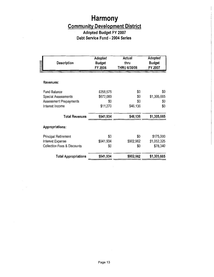## **Adopted Budget FY 2007 Debt Service Fund** - **2004 Series**

| <b>Description</b>                     | Adopted<br><b>Budget</b><br>FY 2006 | Actual<br>thru<br>THRU 6/30/06 | Adopted<br><b>Budget</b><br>FY 2007 |
|----------------------------------------|-------------------------------------|--------------------------------|-------------------------------------|
|                                        |                                     |                                |                                     |
| Revenues:                              |                                     |                                |                                     |
| <b>Fund Balance</b>                    | \$258,575                           | \$0                            | \$0                                 |
| <b>Special Assessments</b>             | \$672,089                           | \$0                            | \$1,305,665                         |
| <b>Assessment Prepayments</b>          | \$0                                 | \$0                            | \$0                                 |
| Interest Income                        | \$11,270                            | \$46,136                       | \$0                                 |
| <b>Total Revenues</b>                  | \$941,934                           | \$46,136                       | \$1,305,665                         |
| <b>Appropriations:</b>                 |                                     |                                |                                     |
| <b>Principal Retirement</b>            | \$0                                 | \$0                            | \$175,000                           |
| Interest Expense                       | \$941,934                           | \$902,962                      | \$1,052,325                         |
| <b>Collection Fees &amp; Discounts</b> | \$0                                 | \$0                            | \$78,340                            |
| <b>Total Appropriations</b>            | \$941,934                           | \$902,962                      | \$1,305,665                         |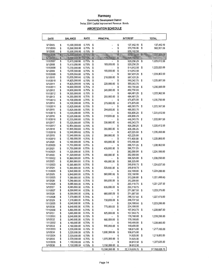#### **Harmony**

 $\frac{1}{4}$ 

**Community Development District**  Series 2004 Capital Improvement Revenue Bonds

#### **AMORTIZATION SCHEDULE**

| DATE                  |          | <b>BALANCE</b>                 | RATE           |          | <b>PRINCIPAL</b> |                            | <b>INTEREST</b>          |                 | <b>TOTAL</b>  |
|-----------------------|----------|--------------------------------|----------------|----------|------------------|----------------------------|--------------------------|-----------------|---------------|
| 5/1/2005              | \$       | 15,590,000.00                  | 6.75%          | \$       |                  | \$                         | 137,442.19               | \$              | 137,442.19    |
| 11/1/2005             | \$       | 15,590,000.00                  | 6.75%          | \$       |                  | \$                         | 376,799.06               | \$              | 902,961.56    |
| 5/1/2006              | \$       | 15,590,000.00                  | 6.75%          | \$       |                  | \$                         | 526,162.50               |                 |               |
| 11/1/2006             | S        | 15,590,000.00                  | 6.75%          | S        |                  | $\ddot{s}$                 | 526,162.50               | $\ddot{\bm{3}}$ | 1,227,325.00  |
| 5/1/2007              | £        | 15,590,000.00                  | $6.75%$ \$     |          | 175,000.00       | $\boldsymbol{\mathcal{S}}$ | 526,162.50               |                 |               |
| 11/1/2007             | \$       | 15,415,000.00                  | 6.75%          | \$       |                  | \$                         | 520,256.25               | \$              | 1,225,512.50  |
| 5/1/2008              | \$       | 15,415,000.00                  | 6.75%          | \$       | 185,000.00       | \$                         | 520,256.25               |                 |               |
| 11/1/2008             | \$       | 15,230,000.00                  | 6.75%          | \$       |                  | \$                         | 514,012.50               | \$              | 1,223,025.00  |
| 5/1/2009              | \$       | 15,230,000.00                  | 6.75%          | \$       | 195,000.00       | \$                         | 514,012.50               |                 |               |
| 11/1/2009<br>5/1/2010 | \$<br>\$ | 15,035,000.00<br>15,035,000.00 | 6.75%<br>6.75% | \$<br>\$ | 210,000.00       | \$<br>\$                   | 507,431.25<br>507,431.25 | \$              | 1,224,862.50  |
| 11/1/2010             | \$       | 14,825,000.00                  | 6.75%          | \$       |                  |                            | 500,343.75               | \$              | 1,225,687.50  |
| 5/1/2011              | \$       | 14,825,000.00                  | 6.75%          | \$       | 225,000.00       | \$                         | 500,343.75               |                 |               |
| 11/1/2011             | \$       | 14,600,000.00                  | 6.75%          | \$       |                  | \$                         | 492,750.00               | \$              | 1,230,500.00  |
| 5/1/2012              | \$       | 14,600,000.00                  | 6.75%          | \$       | 245,000.00       | \$                         | 492,750.00               |                 |               |
| 11/1/2012             | \$       | 14,355,000.00                  | 6.75%          | \$       |                  |                            | 484,481.25               | \$              | 1,223,962.50  |
| 5/1/2013              | \$       | 14,355,000.00                  | 6.75%          | \$       | 255,000.00       | \$                         | 484,481.25               |                 |               |
| 11/1/2013             | \$       | 14,100,000.00                  | 6.75%          | \$       |                  |                            | 475,875.00               | \$              | 1,226,750.00  |
| 5/1/2014              | \$       | 14,100,000.00                  | 6.75%          | \$       | 275,000.00       | \$                         | 475,875.00               |                 |               |
| 11/1/2014             | \$       | 13,825,000.00                  | 6.75%          | \$       |                  | \$                         | 466,593.75               | \$              | 1,223,187.50  |
| 5/1/2015              | \$       | 13,825,000.00                  | 6.75%          | \$       | 290,000.00       | \$                         | 466,593.75               |                 |               |
| 11/1/2015             | \$       | 13,535,000.00                  | 6.75%          | \$       |                  | \$                         | 456,806.25               | \$              | 1,223,612.50  |
| 5/1/2016              | \$<br>\$ | 13,535,000.00<br>13,225,000.00 | 6.75%<br>6.75% | \$<br>\$ | 310,000.00       | \$<br>\$                   | 456,806.25<br>446,343.75 | \$              | 1,222,687.50  |
| 11/1/2016<br>5/1/2017 | \$       | 13,225,000.00                  | 6.75%          | \$       | 330,000.00       | \$                         | 446,343.75               |                 |               |
| 11/1/2017             | \$       | 12,895,000.00                  | 6.75%          | \$       |                  | \$                         | 435,206.25               | \$              | 1,225,412.50  |
| 5/1/2018              | \$       | 12,895,000.00                  | 6.75%          | \$       | 355,000.00       | \$                         | 435,206.25               |                 |               |
| 11/1/2018             | \$       | 12,540,000.00                  | 6.75%          | \$       |                  | \$                         | 423,225.00               | \$              | 1,226,450.00  |
| 5/1/2019              | \$       | 12,540,000.00                  | 6.75%          | \$       | 380,000.00       | \$                         | 423,225.00               |                 |               |
| 11/1/2019             | \$       | 12,160,000.00                  | 6.75%          | \$       |                  | \$                         | 410,400.00               | \$              | 1,225,800.00  |
| 5/1/2020              | \$       | 12,160,000.00                  | 6.75%          | \$       | 405,000.00       | \$                         | 410,400.00               |                 |               |
| 11/1/2020             | \$       | 11,755,000.00                  | 6.75%          | \$       |                  |                            | 396,731.25               | \$              | 1,228,462.50  |
| 5/1/2021              | \$       | 11,755,000.00                  | 6.75%          | \$       | 435,000.00       | \$                         | 396,731.25               |                 |               |
| 11/1/2021             | \$       | 11,320,000.00                  | 6.75%          | \$       |                  | \$                         | 382,050.00               | \$              | 1,224,100.00  |
| 5/1/2022              | \$       | 11,320,000.00                  | 6.75%          | \$       | 460,000.00       | \$                         | 382,050.00               |                 |               |
| 11/1/2022<br>5/1/2023 | \$<br>\$ | 10,860,000.00<br>10,860,000.00 | 6.75%<br>6.75% | \$<br>\$ | 495,000.00       | \$<br>\$                   | 366,525.00<br>366,525.00 | \$              | 1,228,050.00  |
| 11/1/2023             | \$       | 10,365,000.00                  | 6.75%          | \$       |                  | \$                         | 349,818.75               | \$              | 1,224,637.50  |
| 5/1/2024              | \$       | 10,365,000.00                  | 6.75%          | \$       | 525,000.00       | \$                         | 349,818.75               |                 |               |
| 11/1/2024             | \$       | 9,840,000.00                   | 6.75%          | \$       |                  | \$                         | 332,100.00               | \$              | 1,224,200.00  |
| 5/1/2025              | \$       | 9,840,000.00                   | 6.75%          | \$       | 560,000.00       | \$                         | 332,100.00               |                 |               |
| 11/1/2025             | \$       | 9,280,000.00                   | 6.75%          | \$       |                  | \$                         | 313,200.00               | \$              | 1,221,400.00  |
| 5/1/2026              | \$       | 9,280,000.00                   | 6.75%          | \$       | 595,000.00       | \$                         | 313,200.00               |                 |               |
| 11/1/2026             | \$       | 8,685,000.00                   | 6.75%          | \$       |                  |                            | 293,118.75               | \$              | 1,221,237.50  |
| 5/1/2027              | \$       | 8,685,000.00                   | 6.75%          | \$       | 635,000.00       | \$                         | 293,118.75               |                 |               |
| 11/1/2027             | \$       | 8,050,000.00                   | 6.75%          | \$       | 680,000.00       | \$                         | 271,687.50<br>271,687.50 | \$              | 1,223,375.00  |
| 5/1/2028<br>11/1/2028 | \$<br>\$ | 8,050,000.00<br>7,370,000.00   | 6.75%<br>6.75% | \$<br>\$ |                  | \$<br>\$                   | 248,737.50               | \$              | 1,227,475.00  |
| 5/1/2029              | \$       | 7,370,000.00                   | 6.75%          | \$       | 730,000.00       | \$                         | 248,737.50               |                 |               |
| 11/1/2029             | \$       | 6,640,000.00                   | 6.75%          | \$       |                  | \$                         | 224,100.00               | \$              | 1,223,200.00  |
| 5/1/2030              | \$       | 6,640,000.00                   | 6.75%          | \$       | 775,000.00       | \$                         | 224,100.00               |                 |               |
| 11/1/2030             | \$       | 5,865,000.00                   | 6.75%          | \$       |                  | \$                         | 197,943.75               | \$              | 1,220,887.50  |
| 5/1/2031              | \$       | 5,865,000.00                   | 6.75%          | \$       | 825,000.00       | \$                         | 197,943.75               |                 |               |
| 11/1/2031             | \$       | 5,040,000.00                   | 6.75%          | \$       |                  | \$                         | 170,100.00               | \$              | 1,220,200.00  |
| 5/1/2032              | \$       | 5,040,000.00                   | 6.75%          | \$       | 880,000.00       | \$                         | 170,100.00               |                 |               |
| 11/1/2032             | \$       | 4,160,000.00                   | 6.75%          | \$       |                  | \$                         | 140,400.00               | \$              | 1,220,800.00  |
| 5/1/2033              | \$       | 4,160,000.00                   | 6.75%          | \$       | 940,000.00       | \$                         | 140,400.00               |                 |               |
| 11/1/2033<br>5/1/2034 | \$<br>\$ | 3,220,000.00<br>3,220,000.00   | 6.75%<br>6.75% | \$<br>\$ | 1,000,000.00     | \$                         | 108,675.00<br>108,675.00 | \$              | 1,217,350.00  |
| 11/1/2034             | \$       | 2,220,000.00                   | 6.75%          | \$       |                  | \$                         | 74,925.00                | \$              | 1,219,850.00  |
| 5/1/2035              | \$       | 2,220,000.00                   | 6.75%          | \$       | 1,070,000.00     | \$                         | 74,925.00                |                 |               |
| 11/1/2035             | \$       | 1,150,000.00                   | 6.75%          | \$       |                  | \$                         | 38,812.50                | \$              | 1,227,625.00  |
| 5/1/2036              | \$       | 1,150,000.00                   | 6.75%          | \$       | 1,150,000.00     | \$                         | 38,812.50                |                 |               |
|                       |          |                                |                | \$       | 15,590,000.00    | \$                         | 22,178,028.75            | \$              | 37,768,028.75 |